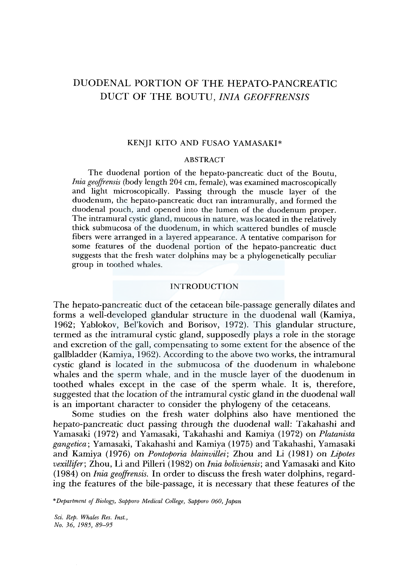# DUODENAL PORTION OF THE HEPATO-PANCREATIC DUCT OF THE BOUTU, *!NIA GEOFFRENSIS*

## KENJI KITO AND FUSAO YAMASAKI\*

### ABSTRACT

The duodenal portion of the hepato-pancreatic duct of the Boutu, *Inia geojfrensis* (body length 204 cm, female), was examined macroscopically and light microscopically. Passing through the muscle layer of the duodenum, the hepato-pancreatic duct ran intramurally, and formed the duodenal pouch, and opened into the lumen of the duodenum proper. The intramural cystic gland, mucous in nature, was located in the relatively thick submucosa of the duodenum, in which scattered bundles of muscle fibers were arranged in a layered appearance. A tentative comparison for some features of the duodenal portion of the hepato-pancreatic duct suggests that the fresh water dolphins may be a phylogenetically peculiar group in toothed whales.

#### INTRODUCTION

The hepato-pancreatic duct of the cetacean bile-passage generally dilates and forms a well-developed glandular structure in the duodenal wall (Kamiya, 1962; Yablokov, Bel'kovich and Borisov, 1972). This glandular structure, termed as the intramural cystic gland, supposedly plays a role in the storage and excretion of the gall, compensating to some extent for the absence of the gallbladder (Kamiya, 1962). According to the above two works, the intramural cystic gland is located in the submucosa of the duodenum in whalebone whales and the sperm whale, and in the muscle layer of the duodenum in toothed whales except in the case of the sperm whale. It is, therefore, suggested that the location of the intramural cystic gland in the duodenal wall is an important character to consider the phylogeny of the cetaceans.

Some studies on the fresh water dolphins also have mentioned the hepato-pancreatic duct passing through the duodenal wall: Takahashi and Yamasaki (1972) and Yamasaki, Takahashi and Kamiya (1972) on *Platanista gangetica;* Yamasaki, Takahashi and Kamiya (1975) and Takahashi, Yamasaki and Kamiya (1976) on *Pontoporia blainvillei;* Zhou and Li (1981) on *Lipotes vexillifer;* Zhou, Li and Pilleri (1982) on *Inia boliviensis;* and Yamasaki and Kito (1984) on *Inia geoffrensis.* In order to discuss the fresh water dolphins, regarding the features of the bile-passage, it is necessary that these features of the

*\*Department of Biology, Sapporo Medical College, Sapporo 060, Japan* 

*Sci. Rep. Whales Res. Inst., No. 36, 1985, 89-95*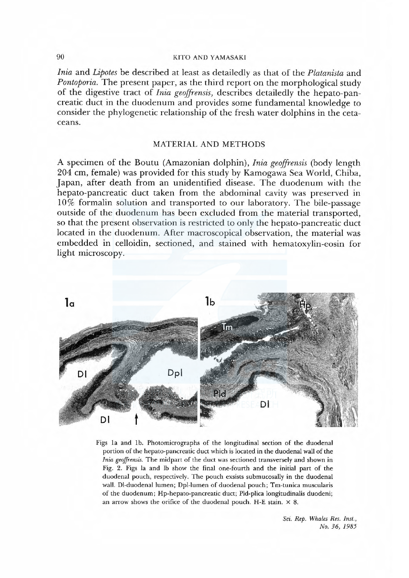## 90 KITO AND YAMASAKI

Iniαand Lipotes be described at least as detailedly as that of the Plαtαnista and Pontoporia. The present paper, as the third report on the morphological study of the digestive tract of *Inia geoffrensis*, describes detailedly the hepato-pancreatic duct in the duodenum and provides some fundamental knowledge to consider the phylogenetic relationship of the fresh water dolphins in the ceta ceans.

## MATERIAL AND METHODS

A specimen of the Boutu (Amazonian dolphin), *Inia geoffrensis* (body length 204 cm, female) was provided for this study by Kamogawa Sea World, Chiba, Japan, after death from an unidentified disease. The duodenum with the hepato-pancreatic duct taken from the abdominal cavity was preserved in 10% formalin solution and transported to our laboratory. The bile-passage outside of the duodenum has been excluded from the material transported, so that the present observation is restricted to only the hepato-pancreatic duct located in the duodenum. After macroscopical observation, the material was embedded in celloidin, sectioned, and stained with hematoxylin-eosin for light microscopy.



Figs 1a and 1b. Photomicrographs of the longitudinal section of the duodenal portion of the hepato-pancreatic duct which is located in the duodenal wall of the Inia geojfrensis. The midpart of the duct was sectioned transversely and shown in Fig. 2. Figs la and lb show the final one-fourth and the initial part of the duodenal pouch, respectively. The pouch exsists submucosally in the duodenal wall. Dl-duodenal lumen; Dpl-lumen of duodenal pouch; Tm-tunica muscularis of the duodenum; Hp-hepato-pancreatic duct; Pld-plica longitudinalis duodeni; an arrow shows the orifice of the duodenal pouch. H-E stain.  $\times$  8.

> Sci. Rep. Whales Res. Inst., No. 36, 1985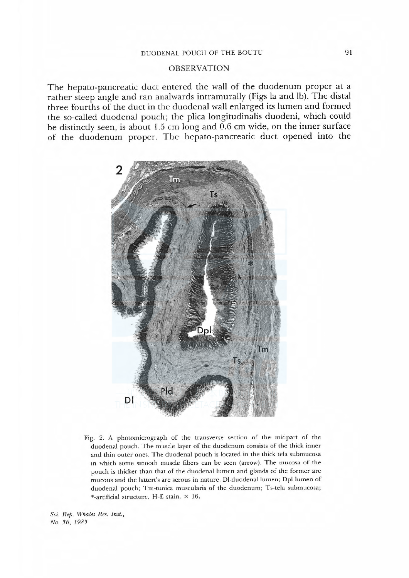## OBSERVATION

The hepato-pancreatic duct entered the wall of the duodenum proper at a rather steep angle and ran analwards intramuraly (Figs la and lb). The distal three-fourths of the duct in the duodenal wall enlarged its lumen and formed the so-caled duodenal pouch; the plica longitudinalis duodeni, which could be distinctly seen, is about 1.5 cm long and 0.6 cm wide, on the inner surface of the duodenum proper. The hepato-pancreatic duct opened into the



Fig. 2. A photomicrograph of the transverse section of the midpart of the duodenal pouch. The muscle layer of the duodenum consists of the thick inner and thin outer ones. The duodenal pouch is located in the thick tela submucosa in which some smooth muscle fibers can be seen (arrow). The mucosa of the pouch is thicker than that of the duodenal lumen and glands of the former are mucous and the lattert's are serous in nature. DI-duodenal lumen; Dpl-lumen of duodenal pouch; Tm-tunica muscularis of the duodenum; Ts-tela submucosa; \*-artificial structure. H-E stain. X 16.

Sci. Rep. Whales Res. Inst., No. 36, 1985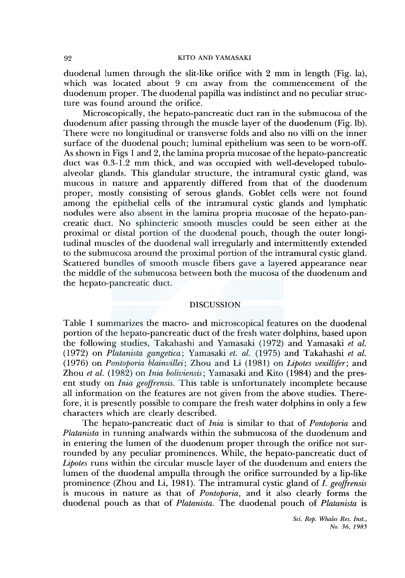#### 92 KITO AND YAMASAKI

duodenal lumen through the slit-like orifice with 2 mm in length (Fig. la), which was located about 9 cm away from the commencement of the duodenum proper. The duodenal papilla was indistinct and no peculiar structure was found around the orifice.

Microscopically, the hepato-pancreatic duct ran in the submucosa of the duodenum after passing through the muscle layer of the duodenum (Fig. lb). There were no longitudinal or transverse folds and also no villi on the inner surface of the duodenal pouch; luminal epithelium was seen to be worn-off. As shown in Figs 1and2, the lamina propria mucosae of the hepato-pancreatic duct was 0.3-1.2 mm thick, and was occupied with well-developed tubuloalveolar glands. This glandular structure, the intramural cystic gland, was mucous in nature and apparently differed from that of the duodenum proper, mostly consisting of serous glands. Goblet cells were not found among the epithelial cells of the intramural cystic glands and lymphatic nodules were also absent in the lamina propria mucosae of the hepato-pancreatic duct. No sphincteric smooth muscles could be seen either at the proximal or distal portion of the duodenal pouch, though the outer longitudinal muscles of the duodenal wall irregularly and intermittently extended to the submucosa around the proximal portion of the intramural cystic gland. Scattered bundles of smooth muscle fibers gave a layered appearance near the middle of the submucosa between both the mucosa of the duodenum and the hepato-pancreatic duct.

## **DISCUSSION**

Table 1 summarizes the macro- and microscopical features on the duodenal portion of the hepato-pancreatic duct of the fresh water dolphins, based upon the following studies, Takahashi and Yamasaki (1972) and Yamasaki *et al.*  (1972) on *Platanista gangetica;* Yamasaki *et. al.* (1975) and Takahashi *et al.*  (1976) on *Pontoporia blainvillei;* Zhou and Li (1981) on *Lipotes vexillifer;* and Zhou *et al.* (1982) on *Inia boliviensis;* Yamasaki and Kito (1984) and the present study on *Inia geoffrensis.* This table is unfortunately incomplete because all information on the features are not given from the above studies. Therefore, it is presently possible to compare the fresh water dolphins in only a few characters which are clearly described.

The hepato-pancreatic duct of *Inia* is similar to that of *Pontoporia* and *Platanista* in running analwards within the submucosa of the duodenum and in entering the lumen of the duodenum proper through the orifice not surrounded by any peculiar prominences. While, the hepato-pancreatic duct of *Lipotes* runs within the circular muscle layer of the duodenum and enters the lumen of the duodenal ampulla through the orifice surrounded by a lip-like prominence (Zhou and Li, 1981). The intramural cystic gland of *I. geoffrensis*  is mucous in nature as that of *Pontoporia,* and it also clearly forms the duodenal pouch as that of *Platanista.* The duodenal pouch of *Platanista* is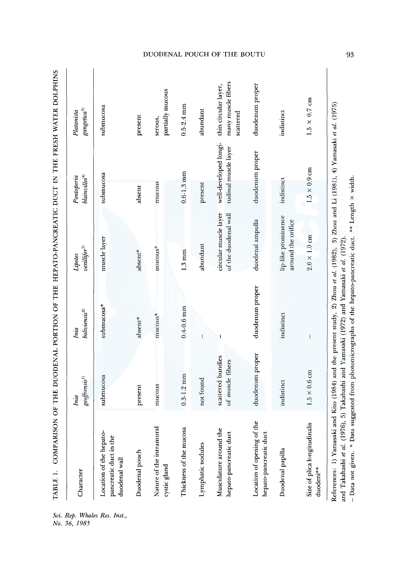| Character                                                          | $ge of$ frensis $\prime$<br>Inia      | boli viensi <sup>2</sup><br>Inia | $\mathit{vexility}(\!\!~^{3})$<br>Lipotes     | blainvillei <sup>4</sup><br>Pontoporia        | $\emph{g} \emph{en} \emph{ic} \emph{a} \emph{'}$<br>Platanista |
|--------------------------------------------------------------------|---------------------------------------|----------------------------------|-----------------------------------------------|-----------------------------------------------|----------------------------------------------------------------|
| Location of the hepato-<br>pancreatic duct in the<br>duodenal wall | submucosa                             | submucosa*                       | muscle layer                                  | submucosa                                     | submucosa                                                      |
| Duodenal pouch                                                     | present                               | absent*                          | absent*                                       | absent                                        | present                                                        |
| Nature of the intramural<br>cystic gland                           | mucous                                | mucous*                          | mucous*                                       | mucous                                        | partially mucous<br>serous,                                    |
| Thickness of the mucosa                                            | $0.3 - 1.2$ mm                        | $0.4 - 0.6$ mm                   | $1.3 \text{ mm}$                              | $0.6 - 1.3$ mm                                | $0.5 - 2.4$ mm                                                 |
| Lymphatic nodules                                                  | not found                             | $\overline{1}$                   | abundant                                      | present                                       | abundant                                                       |
| Musculature around the<br>hepato-pancreatic duct                   | scattered bundles<br>of muscle fibers |                                  | circular muscle layer<br>of the duodenal wall | well-developed longi-<br>tudinal muscle layer | many muscle fibers<br>thin circular layer,<br>scattered        |
| Location of opening of the<br>hepato-pancreatic duct               | duodenum proper                       | duodenum proper                  | duodenal ampulla                              | duodenum proper                               | duodenum proper                                                |
| Duodenal papilla                                                   | indistinct                            | indistinct                       | lip-like prominence<br>around the orifice     | indistinct                                    | indistinct                                                     |
| Size of plica longitudinalis<br>duodeni**                          | $1.5 \times 0.6$ cm                   |                                  | $2.0 \times 1.0$ cm                           | $1.5 \times 0.9$ cm                           | $1.5 \times 0.7$ cm                                            |

Rep. Whales Res. Inst.<br>36, 1985

DUODENAL POUCH OF THE BOUTU

93

- Data not given. \* Data suggested from photomicrographs of the hepato-pancreatic duct. \*\* Length x width.

- Data not given. \* Data suggested from photomicrographs of the hepato-pancreatic duct. \*\* Length x width.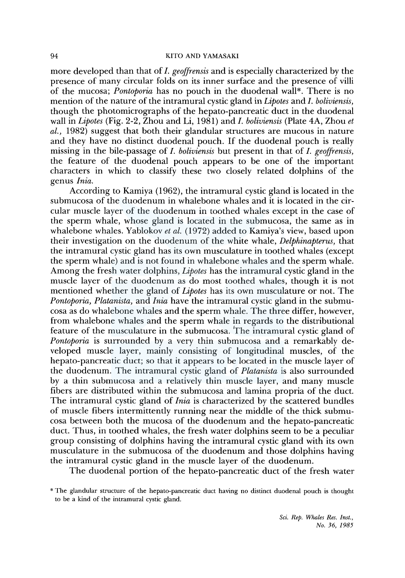#### 94 KITO AND YAMASAKI

more developed than that of I. *geoffrensis* and is especially characterized by the presence of many circular folds on its inner surface and the presence of villi of the mucosa; *Pontoporia* has no pouch in the duodenal wall\*. There is no mention of the nature of the intramural cystic gland in *Lipotes* and J. *boliviensis,*  though the photomicrographs of the hepato-pancreatic duct in the duodenal wall in *Lipotes* (Fig. 2-2, Zhou and Li, 1981) and I. *boliviensis* (Plate 4A, Zhou *et al.,* 1982) suggest that both their glandular structures are mucous in nature and they have no distinct duodenal pouch. If the duodenal pouch is really missing in the bile-passage of *I. boliviensis* but present in that of I. *geoffrensis,*  the feature of the duodenal pouch appears to be one of the important characters in which to classify these two closely related dolphins of the genus *Inia.* 

According to Kamiya (1962), the intramural cystic gland is located in the submucosa of the duodenum in whalebone whales and it is located in the circular muscle layer of the duodenum in toothed whales except in the case of the sperm whale, whose gland is located in the submucosa, the same as in whalebone whales. Yablokov et al. (1972) added to Kamiya's view, based upon their investigation on the duodenum of the white whale, *Delphinapterus,* that the intramural cystic gland has its own musculature in toothed whales (except the sperm whale) and is not found in whalebone whales and the sperm whale. Among the fresh water dolphins, *Lipotes* has the intramural cystic gland in the muscle layer of the duodenum as do most toothed whales, though it is not mentioned whether the gland of *Lipotes* has its own musculature or not. The *Pontoporia, Platanista,* and *Inia* have the intramural cystic gland in the submucosa as do whalebone whales and the sperm whale. The three differ, however, from whalebone whales and the sperm whale in regards to the distributional feature of the musculature in the submucosa. The intramural cystic gland of *Pontoporia* is surrounded by a very thin submucosa and a remarkably developed muscle layer, mainly consisting of longitudinal muscles, of the hepato-pancreatic duct; so that it appears to be located in the muscle layer of the duodenum. The intramural cystic gland of *Platanista* is also surrounded by a thin submucosa and a relatively thin muscle layer, and many muscle fibers are distributed within the submucosa and lamina propria of the duct. The intramural cystic gland of *Inia* is characterized by the scattered bundles of muscle fibers intermittently running near the middle of the thick submucosa between both the mucosa of the duodenum and the hepato-pancreatic duct. Thus, in toothed whales, the fresh water dolphins seem to be a peculiar group consisting of dolphins having the intramural cystic gland with its own musculature in the submucosa of the duodenum and those dolphins having the intramural cystic gland in the muscle layer of the duodenum.

The duodenal portion of the hepato-pancreatic duct of the fresh water

*Sci. Rep. Whales Res. Inst., No. 36, 1985* 

<sup>\*</sup> The glandular structure of the hepato-pancreatic duct having no distinct duodenal pouch is thought to be a kind of the intramural cystic gland.